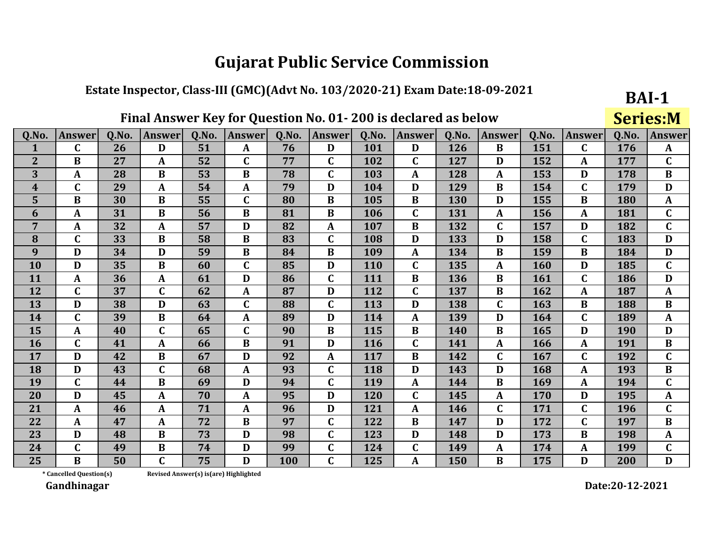#### Estate Inspector, Class-III (GMC)(Advt No. 103/2020-21) Exam Date:18-09-2021

## Final Answer Key for Question No. 01-200 is declared as below

**BAI-1 Series:M** 

| Q.No.            | <b>Answer</b>           | 0.No. | <b>Answer</b> | 0.No.                                 | <b>Answer</b> | Q.No. | <b>Answer</b> | Q.No.      | <b>Answer</b> | 0.No. | Answer       | 0.No. | <b>Answer</b> | Q.No.      | <b>Answer</b> |
|------------------|-------------------------|-------|---------------|---------------------------------------|---------------|-------|---------------|------------|---------------|-------|--------------|-------|---------------|------------|---------------|
| 1                | $\mathbf C$             | 26    | D             | 51                                    | $\mathbf{A}$  | 76    | D             | 101        | D             | 126   | $\bf{B}$     | 151   | $\mathbf C$   | 176        | $\mathbf{A}$  |
| $\overline{2}$   | B                       | 27    | A             | 52                                    | $\mathbf C$   | 77    | $\mathbf C$   | 102        | $\mathbf C$   | 127   | D            | 152   | A             | 177        | $\mathbf C$   |
| 3                | $\mathbf{A}$            | 28    | $\bf{B}$      | 53                                    | $\bf{B}$      | 78    | $\mathbf C$   | 103        | $\mathbf{A}$  | 128   | $\mathbf{A}$ | 153   | D             | 178        | $\bf{B}$      |
| $\boldsymbol{4}$ | $\mathbf C$             | 29    | A             | 54                                    | A             | 79    | D             | 104        | D             | 129   | B            | 154   | $\mathbf C$   | 179        | D             |
| $5\phantom{a}$   | $\bf{B}$                | 30    | $\bf{B}$      | 55                                    | $\mathbf C$   | 80    | $\bf{B}$      | 105        | $\bf{B}$      | 130   | D            | 155   | $\bf{B}$      | 180        | $\mathbf{A}$  |
| 6                | $\mathbf{A}$            | 31    | $\bf{B}$      | 56                                    | $\bf{B}$      | 81    | $\bf{B}$      | 106        | $\mathbf{C}$  | 131   | ${\bf A}$    | 156   | $\mathbf{A}$  | 181        | $\mathbf C$   |
| 7                | A                       | 32    | $\mathbf{A}$  | 57                                    | D             | 82    | $\mathbf{A}$  | 107        | $\bf{B}$      | 132   | $\mathbf C$  | 157   | D             | 182        | $\mathbf C$   |
| 8                | $\mathbf C$             | 33    | $\bf{B}$      | 58                                    | $\bf{B}$      | 83    | $\mathbf C$   | 108        | D             | 133   | D            | 158   | $\mathbf C$   | 183        | D             |
| 9                | D                       | 34    | D             | 59                                    | $\bf{B}$      | 84    | $\bf{B}$      | 109        | $\mathbf{A}$  | 134   | B            | 159   | $\bf{B}$      | 184        | D             |
| 10               | D                       | 35    | $\bf{B}$      | 60                                    | $\mathbf C$   | 85    | D             | 110        | $\mathbf C$   | 135   | A            | 160   | D             | 185        | $\mathbf C$   |
| 11               | $\mathbf{A}$            | 36    | $\mathbf{A}$  | 61                                    | D             | 86    | $\mathbf C$   | 111        | B             | 136   | B            | 161   | $\mathbf C$   | 186        | D             |
| 12               | $\mathbf C$             | 37    | $\mathbf C$   | 62                                    | A             | 87    | D             | 112        | $\mathbf C$   | 137   | B            | 162   | $\mathbf{A}$  | 187        | $\mathbf{A}$  |
| 13               | D                       | 38    | D             | 63                                    | $\mathbf C$   | 88    | $\mathbf C$   | 113        | D             | 138   | C            | 163   | $\bf{B}$      | 188        | $\bf{B}$      |
| 14               | $\mathbf C$             | 39    | $\bf{B}$      | 64                                    | $\mathbf{A}$  | 89    | D             | 114        | $\mathbf{A}$  | 139   | D            | 164   | $\mathbf C$   | 189        | $\mathbf{A}$  |
| 15               | A                       | 40    | $\mathbf C$   | 65                                    | $\mathbf C$   | 90    | $\bf{B}$      | 115        | B             | 140   | B            | 165   | D             | <b>190</b> | D             |
| <b>16</b>        | $\mathbf C$             | 41    | $\mathbf{A}$  | 66                                    | $\bf{B}$      | 91    | D             | <b>116</b> | $\mathbf C$   | 141   | $\mathbf{A}$ | 166   | $\mathbf{A}$  | 191        | $\bf{B}$      |
| 17               | D                       | 42    | $\bf{B}$      | 67                                    | D             | 92    | $\mathbf{A}$  | 117        | $\bf{B}$      | 142   | $\mathbf C$  | 167   | $\mathbf C$   | 192        | $\mathbf C$   |
| 18               | D                       | 43    | $\mathbf C$   | 68                                    | $\mathbf{A}$  | 93    | $\mathbf C$   | 118        | D             | 143   | D            | 168   | $\mathbf{A}$  | 193        | $\bf{B}$      |
| 19               | $\mathbf C$             | 44    | $\bf{B}$      | 69                                    | D             | 94    | $\mathbf C$   | 119        | $\mathbf{A}$  | 144   | $\bf{B}$     | 169   | $\mathbf{A}$  | 194        | $\mathbf C$   |
| 20               | D                       | 45    | $\mathbf{A}$  | 70                                    | A             | 95    | D             | 120        | $\mathbf C$   | 145   | A            | 170   | D             | 195        | $\mathbf{A}$  |
| 21               | $\mathbf{A}$            | 46    | A             | 71                                    | A             | 96    | D             | 121        | $\mathbf{A}$  | 146   | $\mathbf C$  | 171   | $\mathbf C$   | 196        | $\mathbf{C}$  |
| 22               | $\mathbf{A}$            | 47    | $\mathbf{A}$  | 72                                    | $\bf{B}$      | 97    | $\mathbf C$   | 122        | $\bf{B}$      | 147   | D            | 172   | $\mathbf C$   | 197        | $\bf{B}$      |
| 23               | D                       | 48    | $\bf{B}$      | 73                                    | D             | 98    | $\mathbf C$   | 123        | D             | 148   | D            | 173   | $\bf{B}$      | 198        | $\mathbf{A}$  |
| 24               | $\mathbf C$             | 49    | $\bf{B}$      | 74                                    | D             | 99    | $\mathbf C$   | 124        | $\mathbf C$   | 149   | $\mathbf{A}$ | 174   | $\mathbf{A}$  | 199        | $\mathbf C$   |
| 25               | $\bf{B}$                | 50    | $\mathbf C$   | 75                                    | D             | 100   | $\mathbf C$   | 125        | A             | 150   | $\bf{B}$     | 175   | D             | 200        | D             |
|                  | * Cancelled Question(s) |       |               | Revised Answer(s) is(are) Highlighted |               |       |               |            |               |       |              |       |               |            |               |

Revised Answer(s) is(are) Highlighted

Gandhinagar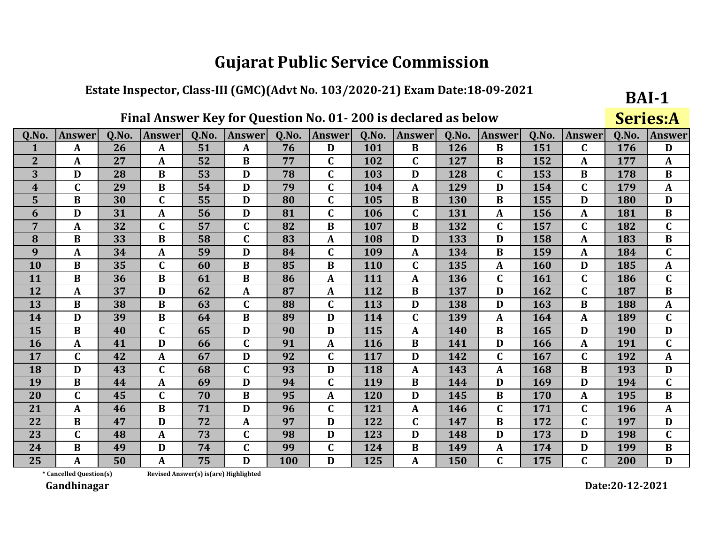#### Estate Inspector, Class-III (GMC)(Advt No. 103/2020-21) Exam Date:18-09-2021

## Final Answer Key for Question No. 01-200 is declared as below

**BAI-1 Series:A** 

| Q.No.          | <b>Answer</b>           | 0.No. | <b>Answer</b> | Q.No.                                 | <b>Answer</b> | Q.No. | <b>Answer</b> | Q.No. | <b>Answer</b> | Q.No. | <b>Answer</b> | Q.No. | <b>Answer</b> | Q.No. | <b>Answer</b> |
|----------------|-------------------------|-------|---------------|---------------------------------------|---------------|-------|---------------|-------|---------------|-------|---------------|-------|---------------|-------|---------------|
| 1              | A                       | 26    | $\mathbf{A}$  | 51                                    | $\mathbf{A}$  | 76    | D             | 101   | $\bf{B}$      | 126   | $\bf{B}$      | 151   | $\mathbf C$   | 176   | D             |
| $\overline{2}$ | A                       | 27    | A             | 52                                    | B             | 77    | $\mathbf C$   | 102   | $\mathbf{C}$  | 127   | $\bf{B}$      | 152   | $\mathbf{A}$  | 177   | $\mathbf{A}$  |
| 3              | D                       | 28    | $\bf{B}$      | 53                                    | D             | 78    | $\mathbf C$   | 103   | D             | 128   | $\mathbf C$   | 153   | $\bf{B}$      | 178   | $\bf{B}$      |
| $\overline{4}$ | $\mathbf C$             | 29    | $\bf{B}$      | 54                                    | D             | 79    | $\mathbf C$   | 104   | A             | 129   | D             | 154   | $\mathbf C$   | 179   | $\mathbf{A}$  |
| 5              | B                       | 30    | $\mathbf C$   | 55                                    | D             | 80    | $\mathbf C$   | 105   | $\bf{B}$      | 130   | $\bf{B}$      | 155   | D             | 180   | D             |
| 6              | D                       | 31    | A             | 56                                    | D             | 81    | $\mathbf C$   | 106   | $\mathbf{C}$  | 131   | $\mathbf{A}$  | 156   | $\mathbf{A}$  | 181   | $\bf{B}$      |
| 7              | A                       | 32    | $\mathbf C$   | 57                                    | C             | 82    | $\bf{B}$      | 107   | B             | 132   | C             | 157   | $\mathbf C$   | 182   | $\mathbf C$   |
| 8              | B                       | 33    | $\bf{B}$      | 58                                    | C             | 83    | $\mathbf{A}$  | 108   | D             | 133   | D             | 158   | $\mathbf{A}$  | 183   | $\bf{B}$      |
| 9              | $\mathbf{A}$            | 34    | A             | 59                                    | D             | 84    | $\mathbf C$   | 109   | $\mathbf{A}$  | 134   | $\bf{B}$      | 159   | $\mathbf{A}$  | 184   | $\mathbf C$   |
| 10             | $\bf{B}$                | 35    | $\mathbf C$   | 60                                    | B             | 85    | $\bf{B}$      | 110   | $\mathbf C$   | 135   | A             | 160   | D             | 185   | $\mathbf{A}$  |
| 11             | $\bf{B}$                | 36    | $\bf{B}$      | 61                                    | $\bf{B}$      | 86    | $\mathbf{A}$  | 111   | A             | 136   | $\mathbf C$   | 161   | $\mathbf C$   | 186   | $\mathbf C$   |
| 12             | $\mathbf{A}$            | 37    | D             | 62                                    | A             | 87    | $\mathbf{A}$  | 112   | B             | 137   | D             | 162   | $\mathbf C$   | 187   | $\bf{B}$      |
| 13             | B                       | 38    | B             | 63                                    | $\mathbf C$   | 88    | $\mathbf C$   | 113   | D             | 138   | D             | 163   | $\bf{B}$      | 188   | $\mathbf{A}$  |
| 14             | D                       | 39    | $\bf{B}$      | 64                                    | $\bf{B}$      | 89    | D             | 114   | $\mathbf C$   | 139   | A             | 164   | $\mathbf{A}$  | 189   | $\mathbf C$   |
| 15             | $\bf{B}$                | 40    | $\mathbf C$   | 65                                    | D             | 90    | D             | 115   | $\mathbf{A}$  | 140   | $\bf{B}$      | 165   | D             | 190   | D             |
| 16             | A                       | 41    | D             | 66                                    | $\mathbf{C}$  | 91    | $\mathbf{A}$  | 116   | $\bf{B}$      | 141   | D             | 166   | $\mathbf{A}$  | 191   | $\mathbf C$   |
| 17             | $\mathbf C$             | 42    | A             | 67                                    | D             | 92    | $\mathbf C$   | 117   | D             | 142   | $\mathbf C$   | 167   | $\mathbf C$   | 192   | $\mathbf{A}$  |
| 18             | D                       | 43    | $\mathbf C$   | 68                                    | $\mathbf C$   | 93    | D             | 118   | $\mathbf{A}$  | 143   | A             | 168   | $\bf{B}$      | 193   | D             |
| 19             | $\bf{B}$                | 44    | A             | 69                                    | D             | 94    | $\mathbf C$   | 119   | $\bf{B}$      | 144   | D             | 169   | D             | 194   | $\mathbf C$   |
| 20             | $\mathbf C$             | 45    | $\mathbf C$   | 70                                    | B             | 95    | $\mathbf{A}$  | 120   | D             | 145   | $\bf{B}$      | 170   | $\mathbf{A}$  | 195   | $\bf{B}$      |
| 21             | $\mathbf{A}$            | 46    | $\bf{B}$      | 71                                    | D             | 96    | $\mathbf C$   | 121   | $\mathbf{A}$  | 146   | $\mathbf C$   | 171   | $\mathbf C$   | 196   | $\mathbf{A}$  |
| 22             | $\bf{B}$                | 47    | D             | 72                                    | A             | 97    | D             | 122   | $\mathbf C$   | 147   | $\bf{B}$      | 172   | $\mathbf C$   | 197   | D             |
| 23             | $\mathbf C$             | 48    | $\mathbf{A}$  | 73                                    | $\mathbf{C}$  | 98    | D             | 123   | D             | 148   | D             | 173   | D             | 198   | $\mathbf{C}$  |
| 24             | B                       | 49    | D             | 74                                    | C             | 99    | C             | 124   | B             | 149   | $\mathbf{A}$  | 174   | D             | 199   | $\bf{B}$      |
| 25             | A                       | 50    | A             | 75                                    | D             | 100   | D             | 125   | A             | 150   | $\mathbf C$   | 175   | $\mathbf C$   | 200   | D             |
|                | * Cancelled Question(s) |       |               | Revised Answer(s) is(are) Highlighted |               |       |               |       |               |       |               |       |               |       |               |

\* Cancelled Question(s)

Gandhinagar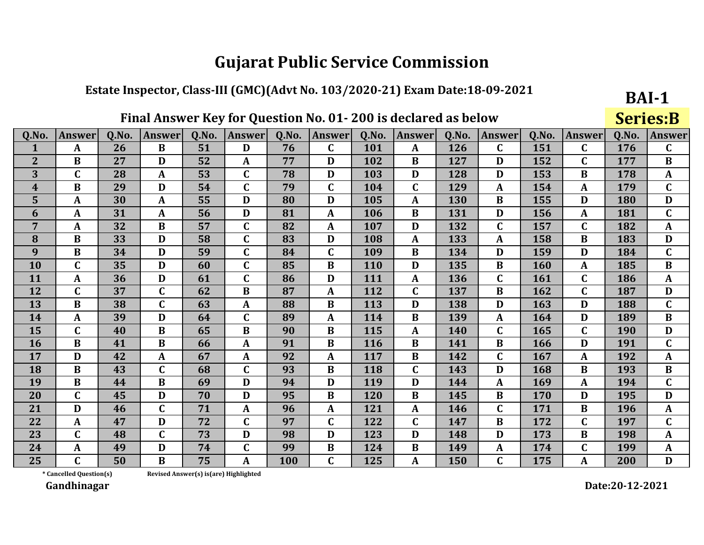#### Estate Inspector, Class-III (GMC)(Advt No. 103/2020-21) Exam Date:18-09-2021

## Final Answer Key for Question No. 01-200 is declared as below

**BAI-1 Series:B** 

| Q.No.            | <b>Answer</b>           | Q.No. | Answer       | 0.No.                                  | <b>Answer</b> | 0.No. | <b>Answer</b> | Q.No.      | Answer       | <b>O.No.</b> | Answer       | 0.No. | <b>Answer</b> | 0.No.      | <b>Answer</b> |
|------------------|-------------------------|-------|--------------|----------------------------------------|---------------|-------|---------------|------------|--------------|--------------|--------------|-------|---------------|------------|---------------|
| $\mathbf{1}$     | $\mathbf{A}$            | 26    | $\bf{B}$     | 51                                     | D             | 76    | $\mathbf C$   | 101        | $\mathbf{A}$ | 126          | $\mathbf{C}$ | 151   | $\mathbf C$   | 176        | $\mathbf{C}$  |
| $\overline{2}$   | B                       | 27    | D            | 52                                     | A             | 77    | D             | 102        | B            | 127          | D            | 152   | $\mathbf C$   | 177        | B             |
| 3                | $\mathbf C$             | 28    | $\mathbf{A}$ | 53                                     | $\mathbf C$   | 78    | D             | 103        | D            | 128          | D            | 153   | $\bf{B}$      | 178        | $\mathbf{A}$  |
| $\boldsymbol{4}$ | $\bf{B}$                | 29    | D            | 54                                     | $\mathbf C$   | 79    | $\mathbf C$   | 104        | $\mathbf C$  | 129          | A            | 154   | $\mathbf{A}$  | 179        | $\mathbf C$   |
| 5                | $\mathbf{A}$            | 30    | $\mathbf{A}$ | 55                                     | D             | 80    | D             | 105        | $\mathbf{A}$ | 130          | $\bf{B}$     | 155   | D             | 180        | D             |
| 6                | $\mathbf{A}$            | 31    | $\mathbf{A}$ | 56                                     | D             | 81    | $\mathbf{A}$  | 106        | $\bf{B}$     | 131          | D            | 156   | $\mathbf{A}$  | 181        | $\mathbf C$   |
| 7                | A                       | 32    | $\bf{B}$     | 57                                     | C             | 82    | $\mathbf{A}$  | 107        | D            | 132          | $\mathbf C$  | 157   | $\mathbf C$   | 182        | $\mathbf{A}$  |
| 8                | $\bf{B}$                | 33    | D            | 58                                     | $\mathbf C$   | 83    | D             | 108        | $\mathbf{A}$ | 133          | A            | 158   | $\bf{B}$      | 183        | D             |
| 9                | $\bf{B}$                | 34    | D            | 59                                     | $\mathbf C$   | 84    | $\mathbf C$   | 109        | $\bf{B}$     | 134          | D            | 159   | D             | 184        | $\mathbf C$   |
| 10               | $\mathbf C$             | 35    | D            | 60                                     | $\mathbf C$   | 85    | $\bf{B}$      | <b>110</b> | D            | 135          | B            | 160   | $\mathbf{A}$  | 185        | $\bf{B}$      |
| 11               | $\mathbf{A}$            | 36    | D            | 61                                     | $\mathbf C$   | 86    | D             | 111        | $\mathbf{A}$ | 136          | $\mathbf C$  | 161   | $\mathbf C$   | 186        | $\mathbf{A}$  |
| 12               | $\mathbf C$             | 37    | $\mathbf C$  | 62                                     | $\bf{B}$      | 87    | $\mathbf{A}$  | 112        | $\mathbf C$  | 137          | B            | 162   | $\mathbf C$   | 187        | D             |
| 13               | $\bf{B}$                | 38    | $\mathbf C$  | 63                                     | A             | 88    | $\bf{B}$      | 113        | D            | 138          | D            | 163   | D             | 188        | $\mathbf C$   |
| 14               | A                       | 39    | D            | 64                                     | $\mathbf{C}$  | 89    | $\mathbf{A}$  | 114        | $\bf{B}$     | 139          | $\mathbf{A}$ | 164   | D             | 189        | $\bf{B}$      |
| 15               | $\mathbf C$             | 40    | B            | 65                                     | B             | 90    | $\bf{B}$      | 115        | $\mathbf{A}$ | 140          | $\mathbf C$  | 165   | $\mathbf C$   | <b>190</b> | D             |
| <b>16</b>        | $\bf{B}$                | 41    | $\bf{B}$     | 66                                     | $\mathbf{A}$  | 91    | $\bf{B}$      | 116        | $\bf{B}$     | 141          | $\bf{B}$     | 166   | D             | 191        | $\mathbf C$   |
| 17               | D                       | 42    | $\mathbf{A}$ | 67                                     | A             | 92    | $\mathbf{A}$  | 117        | $\bf{B}$     | 142          | $\mathbf C$  | 167   | $\mathbf{A}$  | 192        | $\mathbf{A}$  |
| 18               | $\bf{B}$                | 43    | $\mathbf C$  | 68                                     | $\mathbf{C}$  | 93    | $\bf{B}$      | 118        | $\mathbf C$  | 143          | D            | 168   | $\bf{B}$      | 193        | $\bf{B}$      |
| 19               | $\bf{B}$                | 44    | $\bf{B}$     | 69                                     | D             | 94    | D             | 119        | D            | 144          | $\mathbf{A}$ | 169   | $\mathbf{A}$  | 194        | $\mathbf C$   |
| 20               | $\mathbf C$             | 45    | D            | 70                                     | D             | 95    | B             | 120        | $\bf{B}$     | 145          | $\bf{B}$     | 170   | D             | 195        | D             |
| 21               | D                       | 46    | $\mathbf C$  | 71                                     | $\mathbf{A}$  | 96    | $\mathbf{A}$  | 121        | $\mathbf{A}$ | 146          | $\mathbf C$  | 171   | B             | 196        | $\mathbf{A}$  |
| 22               | $\mathbf{A}$            | 47    | D            | 72                                     | $\mathbf C$   | 97    | $\mathbf C$   | 122        | $\mathbf C$  | 147          | B            | 172   | $\mathbf C$   | 197        | $\mathbf C$   |
| 23               | $\mathbf C$             | 48    | $\mathbf C$  | 73                                     | D             | 98    | D             | 123        | D            | 148          | D            | 173   | $\bf{B}$      | 198        | $\mathbf{A}$  |
| 24               | $\mathbf{A}$            | 49    | D            | 74                                     | C             | 99    | B             | 124        | B            | 149          | $\mathbf{A}$ | 174   | $\mathbf C$   | 199        | $\mathbf{A}$  |
| 25               | $\mathbf C$             | 50    | $\bf{B}$     | 75                                     | $\mathbf{A}$  | 100   | $\mathbf C$   | 125        | $\mathbf{A}$ | 150          | $\mathbf C$  | 175   | A             | 200        | D             |
|                  | * Cancelled Question(s) |       |              | Revised Answer(s) is (are) Highlighted |               |       |               |            |              |              |              |       |               |            |               |

Revised Answer(s) is(are) Highlighted

Gandhinagar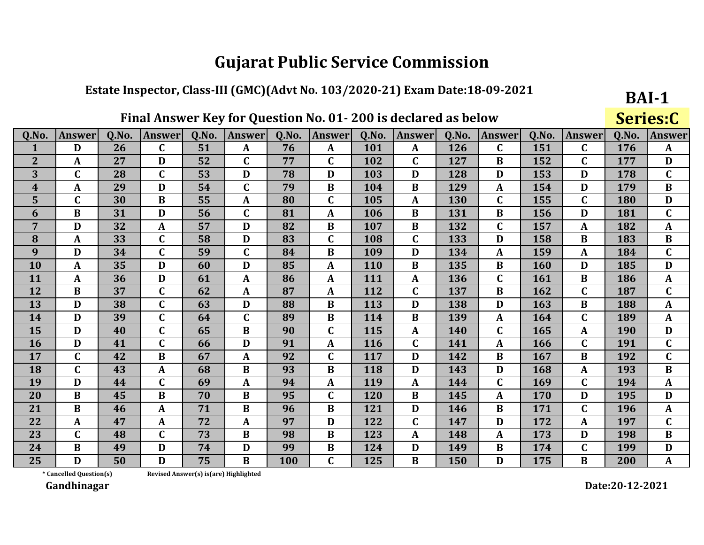#### Estate Inspector, Class-III (GMC)(Advt No. 103/2020-21) Exam Date:18-09-2021

## Final Answer Key for Question No. 01-200 is declared as below

**BAI-1** Series:C

| Q.No.            | <b>Answer</b>           | Q.No. | <b>Answer</b> | 0.No.                                 | <b>Answer</b> | 0.No.      | <b>Answer</b> | 0.No.      | <b>Answer</b> | 0.No. | <b>Answer</b> | 0.No. | <b>Answer</b> | 0.No.      | <b>Answer</b> |
|------------------|-------------------------|-------|---------------|---------------------------------------|---------------|------------|---------------|------------|---------------|-------|---------------|-------|---------------|------------|---------------|
| 1                | D                       | 26    | $\mathbf C$   | 51                                    | A             | 76         | A             | 101        | $\mathbf{A}$  | 126   | $\mathbf{C}$  | 151   | $\mathbf C$   | 176        | $\mathbf{A}$  |
| $\overline{2}$   | $\mathbf{A}$            | 27    | D             | 52                                    | C             | 77         | $\mathbf C$   | 102        | $\mathbf C$   | 127   | B             | 152   | $\mathbf C$   | 177        | D             |
| 3                | $\mathbf C$             | 28    | $\mathbf C$   | 53                                    | D             | 78         | D             | 103        | D             | 128   | D             | 153   | D             | 178        | $\mathbf C$   |
| $\boldsymbol{4}$ | $\mathbf{A}$            | 29    | D             | 54                                    | $\mathbf C$   | 79         | $\bf{B}$      | 104        | $\bf{B}$      | 129   | A             | 154   | D             | 179        | $\bf{B}$      |
| 5                | $\mathbf C$             | 30    | $\bf{B}$      | 55                                    | A             | 80         | $\mathbf C$   | 105        | $\mathbf{A}$  | 130   | $\mathbf C$   | 155   | $\mathbf C$   | 180        | D             |
| 6                | $\bf{B}$                | 31    | D             | 56                                    | $\mathbf{C}$  | 81         | $\mathbf{A}$  | 106        | $\bf{B}$      | 131   | $\bf{B}$      | 156   | D             | 181        | $\mathbf{C}$  |
| 7                | D                       | 32    | $\mathbf{A}$  | 57                                    | D             | 82         | $\bf{B}$      | 107        | $\bf{B}$      | 132   | $\mathbf C$   | 157   | $\mathbf{A}$  | 182        | $\mathbf{A}$  |
| 8                | $\mathbf{A}$            | 33    | $\mathbf C$   | 58                                    | D             | 83         | $\mathbf C$   | 108        | $\mathbf C$   | 133   | D             | 158   | B             | 183        | $\bf{B}$      |
| 9                | D                       | 34    | $\mathbf{C}$  | 59                                    | $\mathbf{C}$  | 84         | $\bf{B}$      | 109        | D             | 134   | A             | 159   | $\mathbf{A}$  | 184        | $\mathbf C$   |
| 10               | $\mathbf{A}$            | 35    | D             | 60                                    | D             | 85         | $\mathbf{A}$  | <b>110</b> | $\bf{B}$      | 135   | $\bf{B}$      | 160   | D             | 185        | D             |
| 11               | A                       | 36    | D             | 61                                    | $\mathbf{A}$  | 86         | $\mathbf{A}$  | 111        | $\mathbf{A}$  | 136   | $\mathbf C$   | 161   | B             | 186        | $\mathbf{A}$  |
| 12               | $\bf{B}$                | 37    | $\mathbf C$   | 62                                    | A             | 87         | $\mathbf A$   | 112        | $\mathbf C$   | 137   | B             | 162   | $\mathbf{C}$  | 187        | $\mathbf C$   |
| 13               | D                       | 38    | $\mathbf{C}$  | 63                                    | D             | 88         | $\bf{B}$      | 113        | D             | 138   | D             | 163   | $\bf{B}$      | 188        | $\mathbf{A}$  |
| 14               | D                       | 39    | $\mathbf C$   | 64                                    | $\mathbf{C}$  | 89         | $\bf{B}$      | 114        | $\bf{B}$      | 139   | A             | 164   | $\mathbf C$   | 189        | $\mathbf{A}$  |
| 15               | D                       | 40    | $\mathbf C$   | 65                                    | $\bf{B}$      | 90         | $\mathbf C$   | 115        | $\mathbf{A}$  | 140   | $\mathbf C$   | 165   | $\mathbf{A}$  | <b>190</b> | D             |
| 16               | D                       | 41    | $\mathbf C$   | 66                                    | D             | 91         | A             | 116        | $\mathbf C$   | 141   | $\mathbf{A}$  | 166   | $\mathbf C$   | 191        | $\mathbf{C}$  |
| 17               | $\mathbf C$             | 42    | $\bf{B}$      | 67                                    | A             | 92         | $\mathbf C$   | 117        | D             | 142   | $\bf{B}$      | 167   | $\bf{B}$      | 192        | $\mathbf C$   |
| 18               | $\mathbf C$             | 43    | $\mathbf{A}$  | 68                                    | $\bf{B}$      | 93         | $\bf{B}$      | 118        | D             | 143   | D             | 168   | $\mathbf{A}$  | 193        | $\bf{B}$      |
| 19               | D                       | 44    | $\mathbf{C}$  | 69                                    | $\mathbf{A}$  | 94         | $\mathbf{A}$  | 119        | $\mathbf{A}$  | 144   | $\mathbf C$   | 169   | $\mathbf C$   | 194        | $\mathbf{A}$  |
| 20               | $\bf{B}$                | 45    | $\bf{B}$      | 70                                    | $\bf{B}$      | 95         | $\mathbf C$   | 120        | $\bf{B}$      | 145   | ${\bf A}$     | 170   | D             | 195        | D             |
| 21               | $\bf{B}$                | 46    | $\mathbf{A}$  | 71                                    | $\bf{B}$      | 96         | $\bf{B}$      | 121        | D             | 146   | $\bf{B}$      | 171   | $\mathbf C$   | 196        | $\mathbf{A}$  |
| 22               | $\mathbf{A}$            | 47    | $\mathbf{A}$  | 72                                    | A             | 97         | D             | 122        | $\mathbf C$   | 147   | D             | 172   | $\mathbf{A}$  | 197        | $\mathbf C$   |
| 23               | $\mathbf C$             | 48    | $\mathbf C$   | 73                                    | $\bf{B}$      | 98         | $\bf{B}$      | 123        | $\mathbf{A}$  | 148   | A             | 173   | D             | 198        | $\bf{B}$      |
| 24               | $\bf{B}$                | 49    | D             | 74                                    | D             | 99         | B             | 124        | D             | 149   | B             | 174   | $\mathbf C$   | 199        | D             |
| 25               | D                       | 50    | D             | 75                                    | $\bf{B}$      | <b>100</b> | $\mathbf C$   | 125        | B             | 150   | D             | 175   | $\bf{B}$      | 200        | $\mathbf{A}$  |
|                  | * Cancelled Question(s) |       |               | Revised Answer(s) is(are) Highlighted |               |            |               |            |               |       |               |       |               |            |               |

Revised Answer(s) is(are) Highlighted

Gandhinagar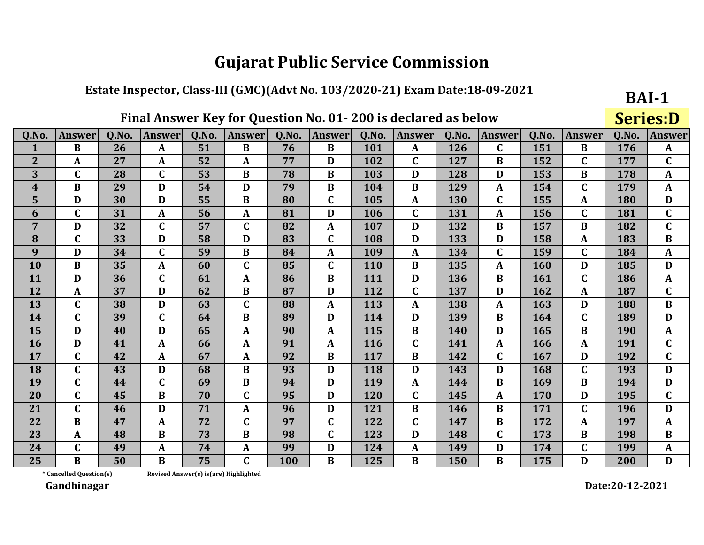#### Estate Inspector, Class-III (GMC)(Advt No. 103/2020-21) Exam Date:18-09-2021

## Final Answer Key for Question No. 01-200 is declared as below

**BAI-1 Series:D** 

| Q.No.          | <b>Answer</b> | Q.No. | <b>Answer</b> | Q.No. | <b>Answer</b> | Q.No. | Answer       | Q.No.      | <b>Answer</b> | Q.No. | <b>Answer</b> | Q.No.      | <b>Answer</b>    | Q.No. | <b>Answer</b> |
|----------------|---------------|-------|---------------|-------|---------------|-------|--------------|------------|---------------|-------|---------------|------------|------------------|-------|---------------|
|                | B             | 26    | A             | 51    | B             | 76    | B            | 101        | A             | 126   | C             | 151        | B                | 176   | $\mathbf{A}$  |
| $\overline{2}$ | A             | 27    | A             | 52    | A             | 77    | D            | 102        | $\mathbf C$   | 127   | B             | 152        | $\mathsf{C}$     | 177   | $\mathbf C$   |
| 3              | $\mathbf C$   | 28    | $\mathbf C$   | 53    | B             | 78    | B            | 103        | D             | 128   | D             | 153        | B                | 178   | $\mathbf{A}$  |
| 4              | B             | 29    | D             | 54    | D             | 79    | B            | 104        | B             | 129   | A             | 154        | C                | 179   | A             |
| 5              | D             | 30    | D             | 55    | B             | 80    | $\mathbf C$  | 105        | A             | 130   | $\mathbf C$   | 155        | A                | 180   | D             |
| 6              | $\mathbf C$   | 31    | A             | 56    | A             | 81    | D            | 106        | $\mathbf C$   | 131   | A             | 156        | $\mathbf C$      | 181   | $\mathbf C$   |
| 7              | D             | 32    | $\mathbf C$   | 57    | C             | 82    | A            | 107        | D             | 132   | B             | 157        | B                | 182   | $\mathbf C$   |
| 8              | $\mathbf C$   | 33    | D             | 58    | D             | 83    | $\mathbf C$  | 108        | D             | 133   | D             | 158        | $\boldsymbol{A}$ | 183   | $\bf{B}$      |
| 9              | D             | 34    | $\mathbf C$   | 59    | $\bf{B}$      | 84    | $\mathbf{A}$ | 109        | A             | 134   | $\mathbf C$   | 159        | $\mathbf C$      | 184   | $\mathbf{A}$  |
| <b>10</b>      | B             | 35    | $\mathbf{A}$  | 60    | $\mathbf C$   | 85    | $\mathbf C$  | <b>110</b> | B             | 135   | A             | <b>160</b> | D                | 185   | D             |
| <b>11</b>      | D             | 36    | $\mathbf C$   | 61    | A             | 86    | $\bf{B}$     | 111        | D             | 136   | B             | 161        | $\mathbf C$      | 186   | $\mathbf{A}$  |
| 12             | A             | 37    | D             | 62    | $\bf{B}$      | 87    | D            | 112        | $\mathbf C$   | 137   | D             | 162        | $\mathbf{A}$     | 187   | $\mathbf C$   |
| 13             | $\mathbf C$   | 38    | D             | 63    | $\mathbf C$   | 88    | A            | 113        | A             | 138   | A             | 163        | D                | 188   | $\bf{B}$      |
| 14             | $\mathbf C$   | 39    | $\mathbf C$   | 64    | B             | 89    | D            | 114        | D             | 139   | $\bf{B}$      | 164        | $\mathsf{C}$     | 189   | D             |
| 15             | D             | 40    | D             | 65    | A             | 90    | A            | 115        | $\bf{B}$      | 140   | D             | 165        | B                | 190   | A             |
| <b>16</b>      | D             | 41    | A             | 66    | A             | 91    | A            | 116        | $\mathbf C$   | 141   | A             | 166        | A                | 191   | $\mathbf{C}$  |
| 17             | $\mathbf C$   | 42    | $\mathbf{A}$  | 67    | $\mathbf{A}$  | 92    | $\bf{B}$     | 117        | $\bf{B}$      | 142   | $\mathbf C$   | 167        | D                | 192   | $\mathbf C$   |
| 18             | $\mathbf C$   | 43    | D             | 68    | B             | 93    | D            | 118        | D             | 143   | D             | 168        | $\mathbf C$      | 193   | D             |
| 19             | $\mathbf C$   | 44    | $\mathbf C$   | 69    | B             | 94    | D            | 119        | A             | 144   | B             | 169        | B                | 194   | D             |
| 20             | $\mathbf C$   | 45    | $\bf{B}$      | 70    | $\mathbf C$   | 95    | D            | 120        | $\mathbf C$   | 145   | A             | 170        | D                | 195   | $\mathbf C$   |
| 21             | $\mathbf C$   | 46    | D             | 71    | A             | 96    | D            | 121        | $\bf{B}$      | 146   | B             | 171        | $\mathsf{C}$     | 196   | D             |
| 22             | B             | 47    | $\mathbf{A}$  | 72    | C             | 97    | $\mathbf C$  | 122        | $\mathbf C$   | 147   | B             | 172        | A                | 197   | A             |
| 23             | A             | 48    | $\bf{B}$      | 73    | B             | 98    | $\mathbf C$  | 123        | D             | 148   | C             | 173        | B                | 198   | $\bf{B}$      |
| 24             | $\mathbf C$   | 49    | A             | 74    | A             | 99    | D            | 124        | A             | 149   | D             | 174        | $\mathbf C$      | 199   | $\mathbf{A}$  |
| 25             | B             | 50    | $\bf{B}$      | 75    | C             | 100   | B            | 125        | B             | 150   | B             | 175        | D                | 200   | D             |

Revised Answer(s) is(are) Highlighted

\* Cancelled Question(s) Gandhinagar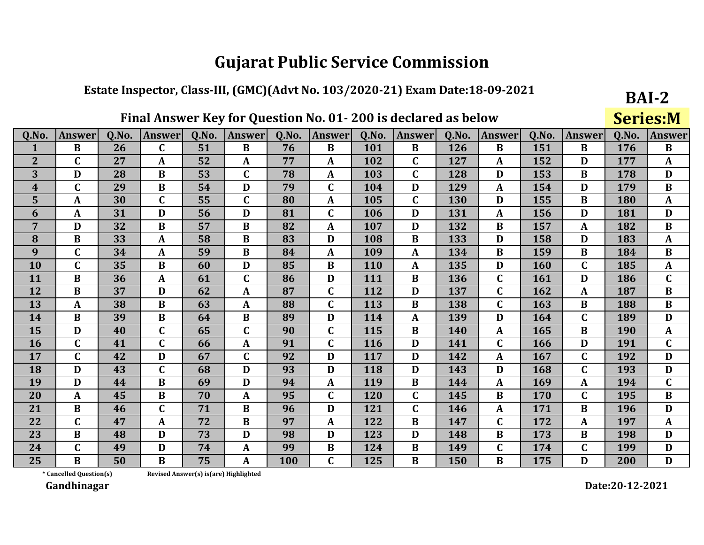#### Estate Inspector, Class-III, (GMC)(Advt No. 103/2020-21) Exam Date:18-09-2021

## Final Answer Key for Question No. 01-200 is declared as below

BAI-2 **Series:M** 

| Q.No.            | <b>Answer</b>           | 0.No. | Answer       | Q.No.                                 | <b>Answer</b> | Q.No. | <b>Answer</b> | Q.No. | Answer       | 0.No. | <b>Answer</b> | 0.No. | <b>Answer</b> | Q.No.      | <b>Answer</b> |
|------------------|-------------------------|-------|--------------|---------------------------------------|---------------|-------|---------------|-------|--------------|-------|---------------|-------|---------------|------------|---------------|
| $\mathbf 1$      | $\bf{B}$                | 26    | $\mathbf C$  | 51                                    | $\bf{B}$      | 76    | $\bf{B}$      | 101   | $\bf{B}$     | 126   | $\bf{B}$      | 151   | $\bf{B}$      | 176        | $\bf{B}$      |
| 2 <sup>1</sup>   | C                       | 27    | A            | 52                                    | A             | 77    | $\mathbf{A}$  | 102   | C            | 127   | A             | 152   | D             | 177        | $\mathbf{A}$  |
| 3                | D                       | 28    | $\bf{B}$     | 53                                    | $\mathbf C$   | 78    | $\mathbf{A}$  | 103   | $\mathbf C$  | 128   | D             | 153   | $\bf{B}$      | 178        | D             |
| $\boldsymbol{4}$ | $\mathbf C$             | 29    | $\bf{B}$     | 54                                    | D             | 79    | $\mathbf C$   | 104   | D            | 129   | A             | 154   | D             | 179        | $\bf{B}$      |
| 5                | A                       | 30    | $\mathbf C$  | 55                                    | $\mathbf C$   | 80    | $\mathbf{A}$  | 105   | $\mathbf C$  | 130   | D             | 155   | $\bf{B}$      | 180        | $\mathbf{A}$  |
| 6                | A                       | 31    | D            | 56                                    | D             | 81    | $\mathbf C$   | 106   | D            | 131   | $\mathbf{A}$  | 156   | D             | 181        | D             |
| 7                | D                       | 32    | $\bf{B}$     | 57                                    | $\bf{B}$      | 82    | $\mathbf{A}$  | 107   | D            | 132   | $\bf{B}$      | 157   | $\mathbf{A}$  | 182        | $\bf{B}$      |
| 8                | $\bf{B}$                | 33    | $\mathbf{A}$ | 58                                    | B             | 83    | D             | 108   | B            | 133   | D             | 158   | D             | 183        | $\mathbf{A}$  |
| 9                | $\mathbf C$             | 34    | $\mathbf{A}$ | 59                                    | $\bf{B}$      | 84    | $\mathbf{A}$  | 109   | $\mathbf{A}$ | 134   | $\bf{B}$      | 159   | $\bf{B}$      | 184        | $\bf{B}$      |
| 10               | $\mathbf C$             | 35    | $\bf{B}$     | 60                                    | D             | 85    | $\bf{B}$      | 110   | $\mathbf A$  | 135   | D             | 160   | $\mathbf C$   | 185        | $\mathbf{A}$  |
| <b>11</b>        | B                       | 36    | A            | 61                                    | $\mathbf{C}$  | 86    | D             | 111   | B            | 136   | $\mathbf C$   | 161   | D             | 186        | $\mathbf C$   |
| 12               | $\bf{B}$                | 37    | D            | 62                                    | $\mathbf{A}$  | 87    | $\mathbf C$   | 112   | D            | 137   | C             | 162   | $\mathbf{A}$  | 187        | $\bf{B}$      |
| 13               | A                       | 38    | $\bf{B}$     | 63                                    | A             | 88    | $\mathbf C$   | 113   | $\bf{B}$     | 138   | $\mathbf C$   | 163   | $\bf{B}$      | 188        | $\bf{B}$      |
| 14               | $\bf{B}$                | 39    | $\bf{B}$     | 64                                    | B             | 89    | D             | 114   | $\mathbf{A}$ | 139   | D             | 164   | $\mathbf C$   | 189        | D             |
| 15               | D                       | 40    | $\mathbf C$  | 65                                    | $\mathbf C$   | 90    | $\mathbf C$   | 115   | $\bf{B}$     | 140   | $\mathbf{A}$  | 165   | $\bf{B}$      | <b>190</b> | $\mathbf{A}$  |
| <b>16</b>        | $\mathbf C$             | 41    | $\mathbf C$  | 66                                    | $\mathbf{A}$  | 91    | $\mathbf C$   | 116   | D            | 141   | $\mathbf{C}$  | 166   | D             | 191        | $\mathbf C$   |
| 17               | $\mathbf C$             | 42    | D            | 67                                    | $\mathbf C$   | 92    | D             | 117   | D            | 142   | A             | 167   | $\mathbf C$   | 192        | D             |
| 18               | D                       | 43    | $\mathbf C$  | 68                                    | D             | 93    | D             | 118   | D            | 143   | D             | 168   | $\mathbf C$   | 193        | D             |
| 19               | D                       | 44    | $\bf{B}$     | 69                                    | D             | 94    | $\mathbf{A}$  | 119   | $\bf{B}$     | 144   | $\mathbf{A}$  | 169   | $\mathbf{A}$  | 194        | $\mathbf C$   |
| 20               | A                       | 45    | $\bf{B}$     | 70                                    | A             | 95    | $\mathbf C$   | 120   | $\mathbf C$  | 145   | $\bf{B}$      | 170   | $\mathbf C$   | 195        | $\bf{B}$      |
| 21               | $\bf{B}$                | 46    | $\mathbf C$  | 71                                    | B             | 96    | D             | 121   | $\mathbf C$  | 146   | A             | 171   | $\bf{B}$      | 196        | D             |
| 22               | $\mathbf C$             | 47    | $\mathbf{A}$ | 72                                    | $\bf{B}$      | 97    | $\mathbf{A}$  | 122   | $\bf{B}$     | 147   | $\mathbf C$   | 172   | $\mathbf{A}$  | 197        | $\mathbf{A}$  |
| 23               | $\bf{B}$                | 48    | D            | 73                                    | D             | 98    | D             | 123   | D            | 148   | $\bf{B}$      | 173   | $\bf{B}$      | 198        | D             |
| 24               | $\mathbf C$             | 49    | D            | 74                                    | A             | 99    | B             | 124   | B            | 149   | C             | 174   | $\mathbf C$   | 199        | D             |
| 25               | $\bf{B}$                | 50    | $\bf{B}$     | 75                                    | $\mathbf{A}$  | 100   | $\mathbf C$   | 125   | $\bf{B}$     | 150   | $\bf{B}$      | 175   | D             | 200        | D             |
|                  | * Cancelled Question(s) |       |              | Revised Answer(s) is(are) Highlighted |               |       |               |       |              |       |               |       |               |            |               |

Revised Answer(s) is(are) Highlighted

Gandhinagar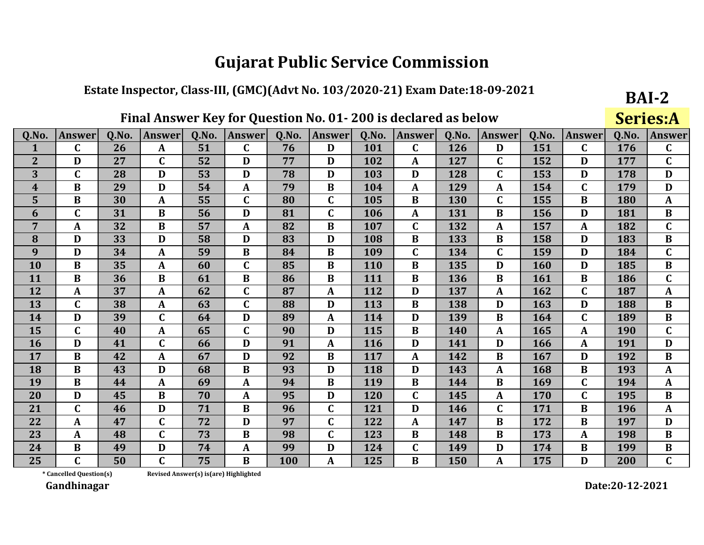#### Estate Inspector, Class-III, (GMC)(Advt No. 103/2020-21) Exam Date:18-09-2021

## Final Answer Key for Question No. 01-200 is declared as below

BAI-2 **Series:A** 

| Q.No.          | <b>Answer</b>           | 0.No. | <b>Answer</b> | Q.No.                                  | <b>Answer</b> | 0.No. | <b>Answer</b> | Q.No.      | <b>Answer</b> | <b>O.No.</b> | <b>Answer</b> | 0.No. | <b>Answer</b> | Q.No.      | <b>Answer</b> |
|----------------|-------------------------|-------|---------------|----------------------------------------|---------------|-------|---------------|------------|---------------|--------------|---------------|-------|---------------|------------|---------------|
| 1              | $\mathbf C$             | 26    | $\mathbf{A}$  | 51                                     | $\mathbf{C}$  | 76    | D             | 101        | $\mathbf C$   | 126          | D             | 151   | $\mathbf C$   | 176        | $\mathbf C$   |
| 2 <sup>2</sup> | D                       | 27    | $\mathbf C$   | 52                                     | D             | 77    | D             | 102        | $\mathbf{A}$  | 127          | C             | 152   | D             | 177        | $\mathbf C$   |
| 3              | $\mathbf C$             | 28    | D             | 53                                     | D             | 78    | D             | 103        | D             | 128          | $\mathbf{C}$  | 153   | D             | 178        | D             |
| 4              | $\bf{B}$                | 29    | D             | 54                                     | A             | 79    | $\bf{B}$      | 104        | $\mathbf{A}$  | 129          | A             | 154   | $\mathbf C$   | 179        | D             |
| 5              | $\bf{B}$                | 30    | $\mathbf{A}$  | 55                                     | $\mathbf C$   | 80    | $\mathbf C$   | 105        | $\bf{B}$      | 130          | $\mathbf C$   | 155   | $\bf{B}$      | 180        | $\mathbf{A}$  |
| 6              | $\mathbf C$             | 31    | B             | 56                                     | D             | 81    | $\mathbf C$   | 106        | $\mathbf{A}$  | 131          | $\bf{B}$      | 156   | D             | 181        | $\bf{B}$      |
| 7              | A                       | 32    | $\bf{B}$      | 57                                     | $\mathbf{A}$  | 82    | $\bf{B}$      | 107        | $\mathbf C$   | 132          | $\mathbf{A}$  | 157   | $\mathbf A$   | 182        | $\mathbf C$   |
| 8              | D                       | 33    | D             | 58                                     | D             | 83    | D             | 108        | B             | 133          | B             | 158   | D             | 183        | $\bf{B}$      |
| 9              | D                       | 34    | $\mathbf{A}$  | 59                                     | $\bf{B}$      | 84    | $\bf{B}$      | 109        | $\mathbf C$   | 134          | $\mathbf C$   | 159   | D             | 184        | $\mathbf C$   |
| 10             | $\bf{B}$                | 35    | $\mathbf{A}$  | 60                                     | $\mathbf C$   | 85    | $\bf{B}$      | <b>110</b> | $\bf{B}$      | 135          | D             | 160   | D             | 185        | $\bf{B}$      |
| <b>11</b>      | B                       | 36    | $\bf{B}$      | 61                                     | B             | 86    | B             | 111        | B             | 136          | B             | 161   | B             | 186        | $\mathbf C$   |
| 12             | A                       | 37    | $\mathbf{A}$  | 62                                     | C             | 87    | $\mathbf{A}$  | 112        | D             | 137          | A             | 162   | $\mathbf C$   | 187        | $\mathbf{A}$  |
| 13             | $\mathbf C$             | 38    | $\mathbf{A}$  | 63                                     | C             | 88    | D             | 113        | $\bf{B}$      | 138          | D             | 163   | D             | 188        | $\bf{B}$      |
| 14             | D                       | 39    | $\mathbf{C}$  | 64                                     | D             | 89    | $\mathbf{A}$  | 114        | D             | 139          | $\bf{B}$      | 164   | $\mathbf C$   | 189        | $\bf{B}$      |
| 15             | $\mathbf C$             | 40    | $\mathbf{A}$  | 65                                     | C             | 90    | D             | 115        | B             | 140          | A             | 165   | A             | <b>190</b> | $\mathbf C$   |
| <b>16</b>      | D                       | 41    | $\mathbf C$   | 66                                     | D             | 91    | $\mathbf{A}$  | <b>116</b> | D             | 141          | D             | 166   | A             | 191        | D             |
| 17             | $\bf{B}$                | 42    | A             | 67                                     | D             | 92    | $\bf{B}$      | 117        | $\mathbf{A}$  | 142          | $\bf{B}$      | 167   | D             | 192        | $\bf{B}$      |
| 18             | $\bf{B}$                | 43    | D             | 68                                     | $\bf{B}$      | 93    | D             | 118        | D             | 143          | $\mathbf{A}$  | 168   | $\bf{B}$      | 193        | $\mathbf{A}$  |
| 19             | $\bf{B}$                | 44    | $\mathbf{A}$  | 69                                     | A             | 94    | B             | 119        | B             | 144          | $\bf{B}$      | 169   | $\mathbf C$   | 194        | $\mathbf{A}$  |
| <b>20</b>      | D                       | 45    | $\bf{B}$      | 70                                     | A             | 95    | D             | 120        | $\mathbf C$   | 145          | $\mathbf{A}$  | 170   | $\mathbf C$   | 195        | B             |
| 21             | $\mathbf C$             | 46    | D             | 71                                     | B             | 96    | $\mathbf C$   | 121        | D             | 146          | $\mathbf C$   | 171   | $\bf{B}$      | 196        | $\mathbf{A}$  |
| 22             | A                       | 47    | $\mathbf C$   | 72                                     | D             | 97    | $\mathbf C$   | 122        | $\mathbf{A}$  | 147          | $\bf{B}$      | 172   | $\bf{B}$      | 197        | D             |
| 23             | A                       | 48    | $\mathbf C$   | 73                                     | B             | 98    | $\mathbf C$   | 123        | $\bf{B}$      | 148          | B             | 173   | $\mathbf{A}$  | 198        | $\bf{B}$      |
| 24             | B                       | 49    | D             | 74                                     | A             | 99    | D             | 124        | $\mathbf C$   | 149          | D             | 174   | B             | 199        | $\bf{B}$      |
| 25             | $\mathbf C$             | 50    | $\mathbf C$   | 75                                     | B             | 100   | A             | 125        | $\bf{B}$      | 150          | $\mathbf{A}$  | 175   | D             | 200        | $\mathbf C$   |
|                | * Cancelled Question(s) |       |               | Revised Answer(s) is (are) Highlighted |               |       |               |            |               |              |               |       |               |            |               |

Revised Answer(s) is(are) Highlighted

Gandhinagar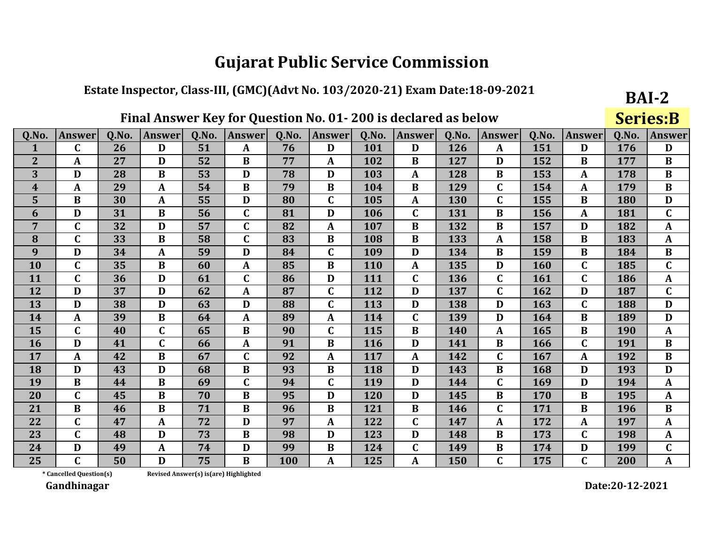#### Estate Inspector, Class-III, (GMC)(Advt No. 103/2020-21) Exam Date:18-09-2021

## Final Answer Key for Question No. 01-200 is declared as below

**BAI-2 Series:B** 

| Q.No.          | <b>Answer</b> | 0.No. | Answer      | 0.No. | Answer       | 0.No. | Answer       | 0.No. | Answer       | 0.No. | Answer       | O.No. | <b>Answer</b> | 0.No. | <b>Answer</b> |
|----------------|---------------|-------|-------------|-------|--------------|-------|--------------|-------|--------------|-------|--------------|-------|---------------|-------|---------------|
| 1              | $\mathbf C$   | 26    | D           | 51    | A            | 76    | D            | 101   | D            | 126   | A            | 151   | D             | 176   | D             |
| $\overline{2}$ | A             | 27    | D           | 52    | B            | 77    | A            | 102   | B            | 127   | D            | 152   | B             | 177   | $\bf{B}$      |
| 3              | D             | 28    | B           | 53    | D            | 78    | D            | 103   | A            | 128   | B            | 153   | A             | 178   | $\bf{B}$      |
| 4              | $\mathbf{A}$  | 29    | A           | 54    | B            | 79    | $\bf{B}$     | 104   | B            | 129   | C            | 154   | $\mathbf{A}$  | 179   | $\bf{B}$      |
| 5              | $\bf{B}$      | 30    | A           | 55    | D            | 80    | $\mathbf C$  | 105   | $\mathbf{A}$ | 130   | C            | 155   | $\bf{B}$      | 180   | D             |
| 6              | D             | 31    | $\bf{B}$    | 56    | $\mathbf C$  | 81    | D            | 106   | $\mathbf C$  | 131   | B            | 156   | $\mathbf{A}$  | 181   | $\mathbf C$   |
| 7              | $\mathbf C$   | 32    | D           | 57    | $\mathbf C$  | 82    | $\mathbf{A}$ | 107   | $\bf{B}$     | 132   | B            | 157   | D             | 182   | $\mathbf{A}$  |
| 8              | $\mathbf C$   | 33    | B           | 58    | $\mathbf{C}$ | 83    | B            | 108   | B            | 133   | A            | 158   | B             | 183   | $\mathbf{A}$  |
| 9              | D             | 34    | A           | 59    | D            | 84    | $\mathbf C$  | 109   | D            | 134   | B            | 159   | B             | 184   | $\bf{B}$      |
| 10             | $\mathbf C$   | 35    | $\bf{B}$    | 60    | $\mathbf{A}$ | 85    | $\bf{B}$     | 110   | A            | 135   | D            | 160   | $\mathbf C$   | 185   | $\mathbf{C}$  |
| 11             | $\mathbf C$   | 36    | D           | 61    | C            | 86    | D            | 111   | $\mathbf C$  | 136   | C            | 161   | $\mathbf C$   | 186   | $\mathbf{A}$  |
| 12             | D             | 37    | D           | 62    | A            | 87    | $\mathbf C$  | 112   | D            | 137   | $\mathbf C$  | 162   | D             | 187   | $\mathbf C$   |
| 13             | D             | 38    | D           | 63    | D            | 88    | $\mathbf C$  | 113   | D            | 138   | D            | 163   | $\mathbf C$   | 188   | D             |
| 14             | $\mathbf{A}$  | 39    | $\bf{B}$    | 64    | A            | 89    | A            | 114   | $\mathbf C$  | 139   | D            | 164   | B             | 189   | D             |
| 15             | $\mathbf C$   | 40    | $\mathbf C$ | 65    | B            | 90    | $\mathbf C$  | 115   | B            | 140   | A            | 165   | B             | 190   | $\mathbf{A}$  |
| 16             | D             | 41    | $\mathbf C$ | 66    | A            | 91    | $\bf{B}$     | 116   | D            | 141   | B            | 166   | $\mathbf C$   | 191   | $\bf{B}$      |
| 17             | $\mathbf{A}$  | 42    | $\bf{B}$    | 67    | $\mathbf C$  | 92    | $\mathbf{A}$ | 117   | $\mathbf{A}$ | 142   | C            | 167   | A             | 192   | $\bf{B}$      |
| 18             | D             | 43    | D           | 68    | B            | 93    | $\bf{B}$     | 118   | D            | 143   | B            | 168   | D             | 193   | D             |
| 19             | $\bf{B}$      | 44    | $\bf{B}$    | 69    | $\mathbf{C}$ | 94    | $\mathbf C$  | 119   | D            | 144   | $\mathbf C$  | 169   | D             | 194   | $\mathbf{A}$  |
| 20             | $\mathbf C$   | 45    | B           | 70    | B            | 95    | D            | 120   | D            | 145   | B            | 170   | B             | 195   | $\mathbf{A}$  |
| 21             | $\bf{B}$      | 46    | B           | 71    | B            | 96    | B            | 121   | B            | 146   | C            | 171   | B             | 196   | $\bf{B}$      |
| 22             | $\mathbf C$   | 47    | A           | 72    | D            | 97    | A            | 122   | $\mathbf C$  | 147   | A            | 172   | A             | 197   | $\mathbf{A}$  |
| 23             | $\mathbf C$   | 48    | D           | 73    | B            | 98    | D            | 123   | D            | 148   | $\bf{B}$     | 173   | $\mathbf C$   | 198   | $\mathbf{A}$  |
| 24             | D             | 49    | A           | 74    | D            | 99    | $\bf{B}$     | 124   | $\mathbf C$  | 149   | B            | 174   | D             | 199   | $\mathbf C$   |
| 25             | $\mathbf C$   | 50    | D           | 75    | $\bf{B}$     | 100   | A            | 125   | A            | 150   | $\mathbf{C}$ | 175   | $\mathbf C$   | 200   | $\mathbf{A}$  |

\* Cancelled Question(s) Revised Answer(s) is(are) Highlighted

Gandhinagar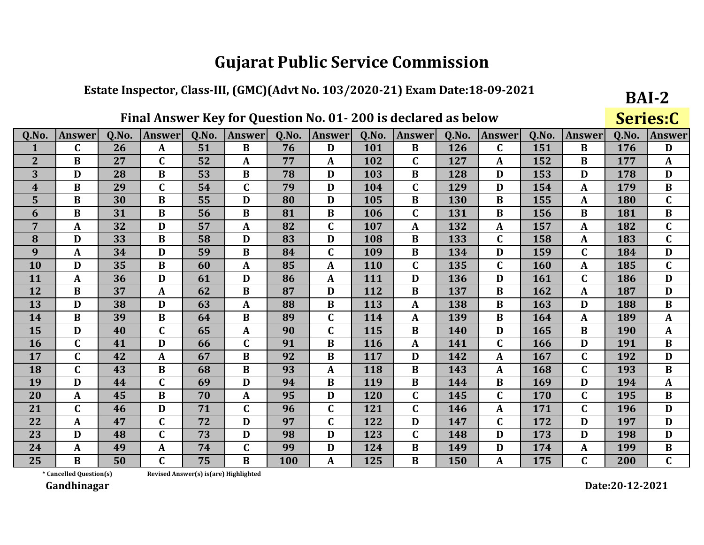#### Estate Inspector, Class-III, (GMC)(Advt No. 103/2020-21) Exam Date:18-09-2021

## Final Answer Key for Question No. 01-200 is declared as below

BAI-2 Series:C

| Q.No.          | <b>Answer</b>           | Q.No. | <b>Answer</b> | 0.No.                                 | <b>Answer</b> | 0.No. | <b>Answer</b> | Q.No. | Answer       | Q.No. | <b>Answer</b> | 0.No. | <b>Answer</b> | 0.No. | <b>Answer</b> |
|----------------|-------------------------|-------|---------------|---------------------------------------|---------------|-------|---------------|-------|--------------|-------|---------------|-------|---------------|-------|---------------|
| $\mathbf{1}$   | $\mathbf C$             | 26    | A             | 51                                    | $\bf{B}$      | 76    | D             | 101   | $\bf{B}$     | 126   | $\mathbf C$   | 151   | $\bf{B}$      | 176   | D             |
| $\overline{2}$ | B                       | 27    | $\mathbf C$   | 52                                    | A             | 77    | A             | 102   | $\mathbf C$  | 127   | A             | 152   | B             | 177   | $\mathbf{A}$  |
| 3              | D                       | 28    | $\bf{B}$      | 53                                    | $\bf{B}$      | 78    | D             | 103   | $\bf{B}$     | 128   | D             | 153   | D             | 178   | D             |
| 4              | $\bf{B}$                | 29    | $\mathbf C$   | 54                                    | $\mathbf C$   | 79    | D             | 104   | $\mathbf C$  | 129   | D             | 154   | A             | 179   | $\bf{B}$      |
| 5              | $\bf{B}$                | 30    | $\bf{B}$      | 55                                    | D             | 80    | D             | 105   | $\bf{B}$     | 130   | $\bf{B}$      | 155   | A             | 180   | $\mathbf C$   |
| 6              | $\bf{B}$                | 31    | $\bf{B}$      | 56                                    | $\bf{B}$      | 81    | $\bf{B}$      | 106   | $\mathbf C$  | 131   | $\bf{B}$      | 156   | B             | 181   | $\bf{B}$      |
| $\overline{7}$ | $\mathbf{A}$            | 32    | D             | 57                                    | A             | 82    | $\mathbf C$   | 107   | $\mathbf{A}$ | 132   | A             | 157   | $\mathbf{A}$  | 182   | $\mathbf C$   |
| 8              | D                       | 33    | $\bf{B}$      | 58                                    | D             | 83    | D             | 108   | $\bf{B}$     | 133   | $\mathbf C$   | 158   | $\mathbf A$   | 183   | $\mathbf C$   |
| 9              | $\mathbf{A}$            | 34    | D             | 59                                    | $\bf{B}$      | 84    | $\mathbf C$   | 109   | $\bf{B}$     | 134   | D             | 159   | $\mathbf C$   | 184   | D             |
| 10             | D                       | 35    | $\bf{B}$      | 60                                    | A             | 85    | $\mathbf{A}$  | 110   | $\mathbf C$  | 135   | $\mathbf C$   | 160   | A             | 185   | $\mathbf C$   |
| 11             | $\mathbf{A}$            | 36    | D             | 61                                    | D             | 86    | A             | 111   | D            | 136   | D             | 161   | $\mathbf C$   | 186   | D             |
| 12             | $\bf{B}$                | 37    | $\mathbf{A}$  | 62                                    | $\bf{B}$      | 87    | D             | 112   | $\bf{B}$     | 137   | B             | 162   | A             | 187   | D             |
| 13             | D                       | 38    | D             | 63                                    | $\mathbf{A}$  | 88    | $\bf{B}$      | 113   | $\mathbf{A}$ | 138   | B             | 163   | D             | 188   | $\bf{B}$      |
| 14             | $\bf{B}$                | 39    | $\bf{B}$      | 64                                    | $\bf{B}$      | 89    | $\mathbf C$   | 114   | $\mathbf{A}$ | 139   | $\bf{B}$      | 164   | $\mathbf{A}$  | 189   | $\mathbf{A}$  |
| 15             | D                       | 40    | $\mathbf C$   | 65                                    | A             | 90    | $\mathbf C$   | 115   | $\bf{B}$     | 140   | D             | 165   | B             | 190   | $\mathbf{A}$  |
| <b>16</b>      | $\mathbf C$             | 41    | D             | 66                                    | C             | 91    | $\bf{B}$      | 116   | $\mathbf{A}$ | 141   | $\mathbf C$   | 166   | D             | 191   | B             |
| 17             | $\mathbf C$             | 42    | $\mathbf{A}$  | 67                                    | $\bf{B}$      | 92    | $\bf{B}$      | 117   | D            | 142   | A             | 167   | $\mathbf C$   | 192   | D             |
| 18             | $\mathbf C$             | 43    | $\bf{B}$      | 68                                    | $\bf{B}$      | 93    | $\mathbf{A}$  | 118   | $\bf{B}$     | 143   | $\mathbf{A}$  | 168   | $\mathbf C$   | 193   | $\bf{B}$      |
| 19             | D                       | 44    | $\mathbf C$   | 69                                    | D             | 94    | $\bf{B}$      | 119   | $\bf{B}$     | 144   | $\bf{B}$      | 169   | D             | 194   | $\mathbf{A}$  |
| 20             | $\mathbf{A}$            | 45    | $\bf{B}$      | 70                                    | $\mathbf{A}$  | 95    | D             | 120   | $\mathbf C$  | 145   | C             | 170   | $\mathbf C$   | 195   | $\bf{B}$      |
| 21             | $\mathbf C$             | 46    | D             | 71                                    | $\mathbf C$   | 96    | $\mathbf C$   | 121   | $\mathbf C$  | 146   | A             | 171   | $\mathbf C$   | 196   | D             |
| 22             | $\mathbf{A}$            | 47    | $\mathbf C$   | 72                                    | D             | 97    | $\mathbf C$   | 122   | D            | 147   | $\mathbf C$   | 172   | D             | 197   | D             |
| 23             | D                       | 48    | $\mathbf C$   | 73                                    | D             | 98    | D             | 123   | $\mathbf C$  | 148   | D             | 173   | D             | 198   | D             |
| 24             | $\mathbf{A}$            | 49    | A             | 74                                    | C             | 99    | D             | 124   | $\bf{B}$     | 149   | D             | 174   | A             | 199   | $\bf{B}$      |
| 25             | B                       | 50    | $\mathbf C$   | 75                                    | $\bf{B}$      | 100   | A             | 125   | $\bf{B}$     | 150   | $\mathbf{A}$  | 175   | $\mathbf C$   | 200   | $\mathbf{C}$  |
|                | * Cancelled Question(s) |       |               | Revised Answer(s) is(are) Highlighted |               |       |               |       |              |       |               |       |               |       |               |

\* Cancelled Question(s)

Gandhinagar